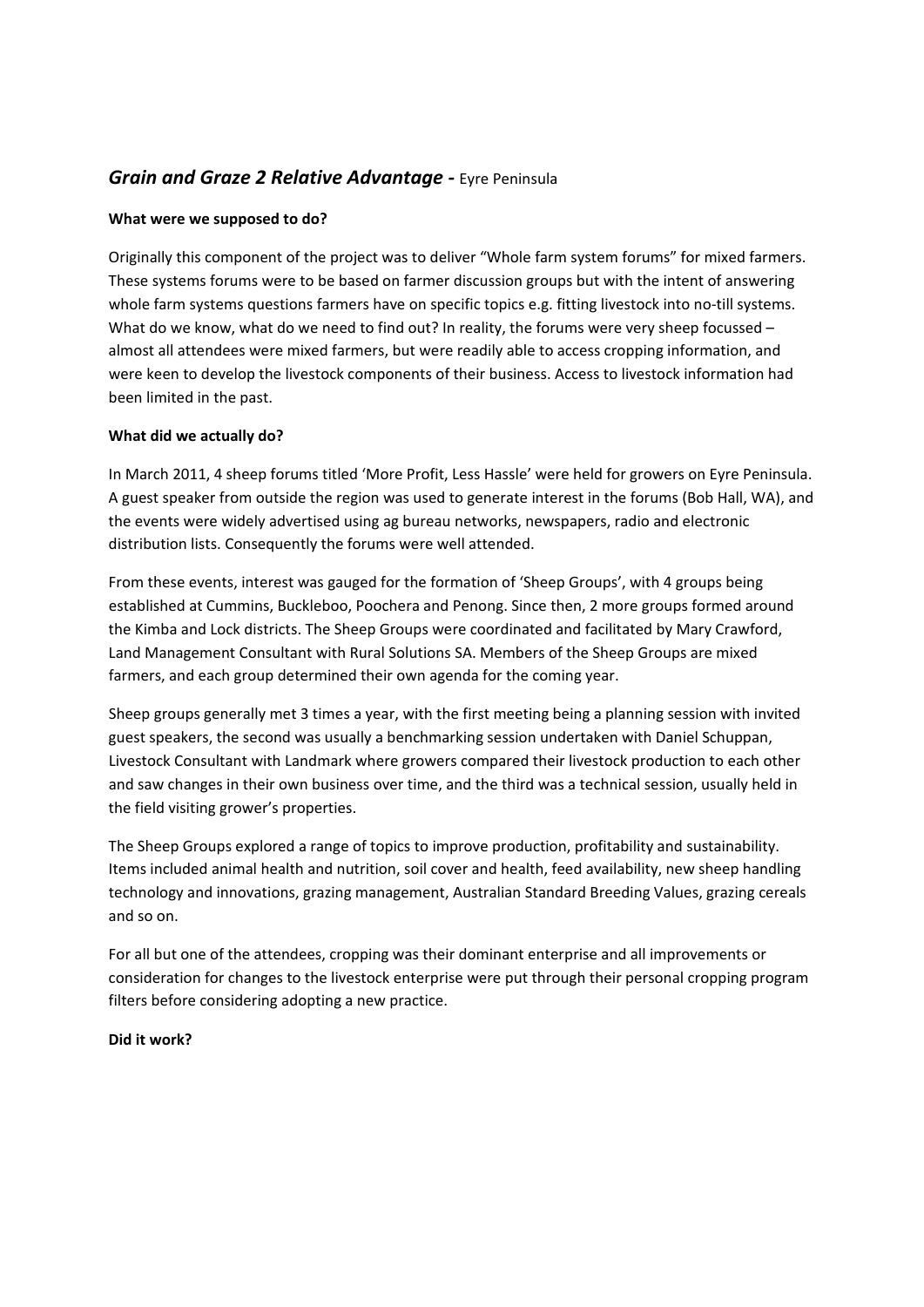# *Grain and Graze 2 Relative Advantage ‐* Eyre Peninsula

# **What were we supposed to do?**

Originally this component of the project was to deliver "Whole farm system forums" for mixed farmers. These systems forums were to be based on farmer discussion groups but with the intent of answering whole farm systems questions farmers have on specific topics e.g. fitting livestock into no-till systems. What do we know, what do we need to find out? In reality, the forums were very sheep focussed almost all attendees were mixed farmers, but were readily able to access cropping information, and were keen to develop the livestock components of their business. Access to livestock information had been limited in the past.

# **What did we actually do?**

In March 2011, 4 sheep forums titled 'More Profit, Less Hassle' were held for growers on Eyre Peninsula. A guest speaker from outside the region was used to generate interest in the forums (Bob Hall, WA), and the events were widely advertised using ag bureau networks, newspapers, radio and electronic distribution lists. Consequently the forums were well attended.

From these events, interest was gauged for the formation of 'Sheep Groups', with 4 groups being established at Cummins, Buckleboo, Poochera and Penong. Since then, 2 more groups formed around the Kimba and Lock districts. The Sheep Groups were coordinated and facilitated by Mary Crawford, Land Management Consultant with Rural Solutions SA. Members of the Sheep Groups are mixed farmers, and each group determined their own agenda for the coming year.

Sheep groups generally met 3 times a year, with the first meeting being a planning session with invited guest speakers, the second was usually a benchmarking session undertaken with Daniel Schuppan, Livestock Consultant with Landmark where growers compared their livestock production to each other and saw changes in their own business over time, and the third was a technical session, usually held in the field visiting grower's properties.

The Sheep Groups explored a range of topics to improve production, profitability and sustainability. Items included animal health and nutrition, soil cover and health, feed availability, new sheep handling technology and innovations, grazing management, Australian Standard Breeding Values, grazing cereals and so on.

For all but one of the attendees, cropping was their dominant enterprise and all improvements or consideration for changes to the livestock enterprise were put through their personal cropping program filters before considering adopting a new practice.

### **Did it work?**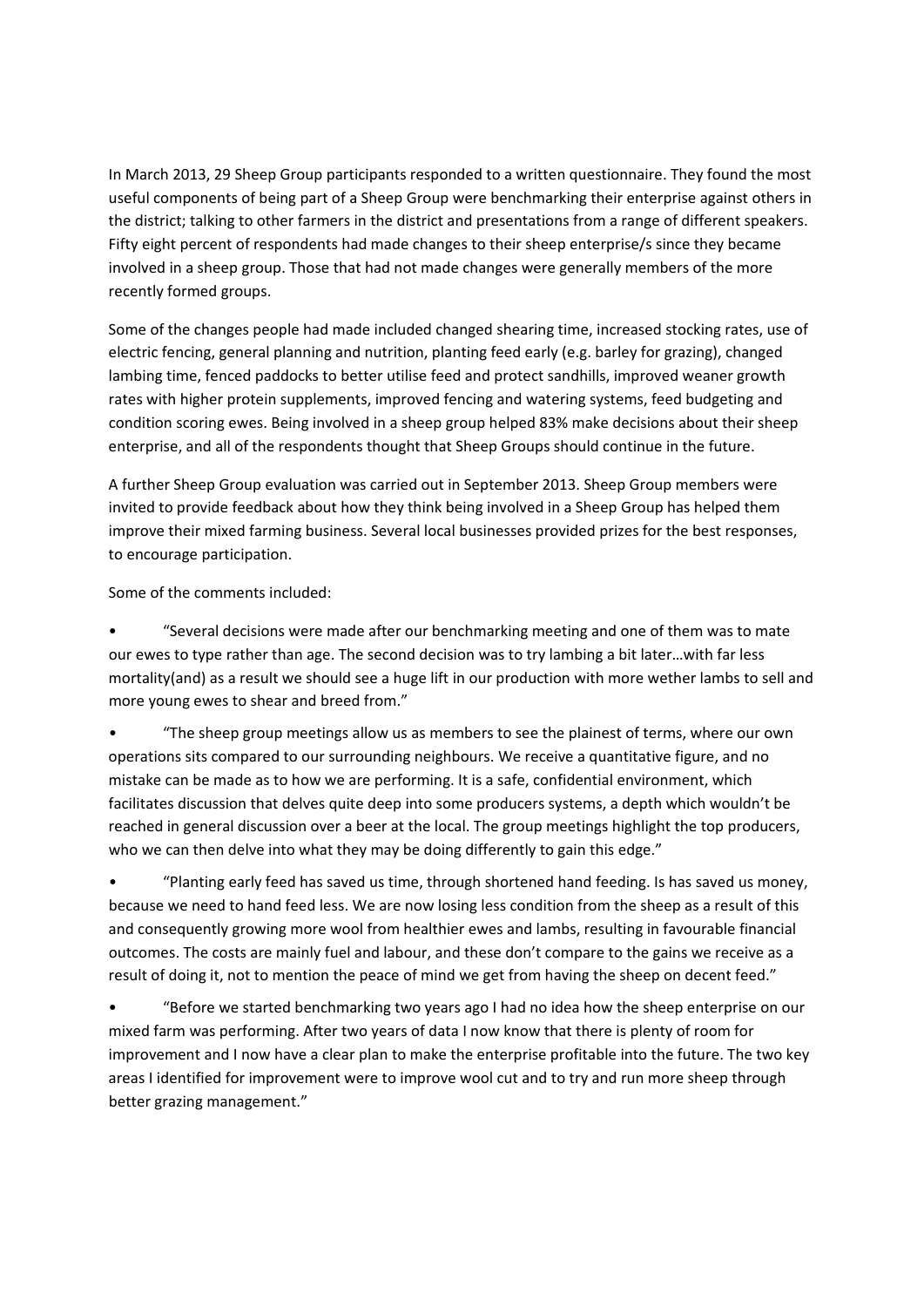In March 2013, 29 Sheep Group participants responded to a written questionnaire. They found the most useful components of being part of a Sheep Group were benchmarking their enterprise against others in the district; talking to other farmers in the district and presentations from a range of different speakers. Fifty eight percent of respondents had made changes to their sheep enterprise/s since they became involved in a sheep group. Those that had not made changes were generally members of the more recently formed groups.

Some of the changes people had made included changed shearing time, increased stocking rates, use of electric fencing, general planning and nutrition, planting feed early (e.g. barley for grazing), changed lambing time, fenced paddocks to better utilise feed and protect sandhills, improved weaner growth rates with higher protein supplements, improved fencing and watering systems, feed budgeting and condition scoring ewes. Being involved in a sheep group helped 83% make decisions about their sheep enterprise, and all of the respondents thought that Sheep Groups should continue in the future.

A further Sheep Group evaluation was carried out in September 2013. Sheep Group members were invited to provide feedback about how they think being involved in a Sheep Group has helped them improve their mixed farming business. Several local businesses provided prizes for the best responses, to encourage participation.

Some of the comments included:

• "Several decisions were made after our benchmarking meeting and one of them was to mate our ewes to type rather than age. The second decision was to try lambing a bit later…with far less mortality(and) as a result we should see a huge lift in our production with more wether lambs to sell and more young ewes to shear and breed from."

• "The sheep group meetings allow us as members to see the plainest of terms, where our own operations sits compared to our surrounding neighbours. We receive a quantitative figure, and no mistake can be made as to how we are performing. It is a safe, confidential environment, which facilitates discussion that delves quite deep into some producers systems, a depth which wouldn't be reached in general discussion over a beer at the local. The group meetings highlight the top producers, who we can then delve into what they may be doing differently to gain this edge."

• "Planting early feed has saved us time, through shortened hand feeding. Is has saved us money, because we need to hand feed less. We are now losing less condition from the sheep as a result of this and consequently growing more wool from healthier ewes and lambs, resulting in favourable financial outcomes. The costs are mainly fuel and labour, and these don't compare to the gains we receive as a result of doing it, not to mention the peace of mind we get from having the sheep on decent feed."

• "Before we started benchmarking two years ago I had no idea how the sheep enterprise on our mixed farm was performing. After two years of data I now know that there is plenty of room for improvement and I now have a clear plan to make the enterprise profitable into the future. The two key areas I identified for improvement were to improve wool cut and to try and run more sheep through better grazing management."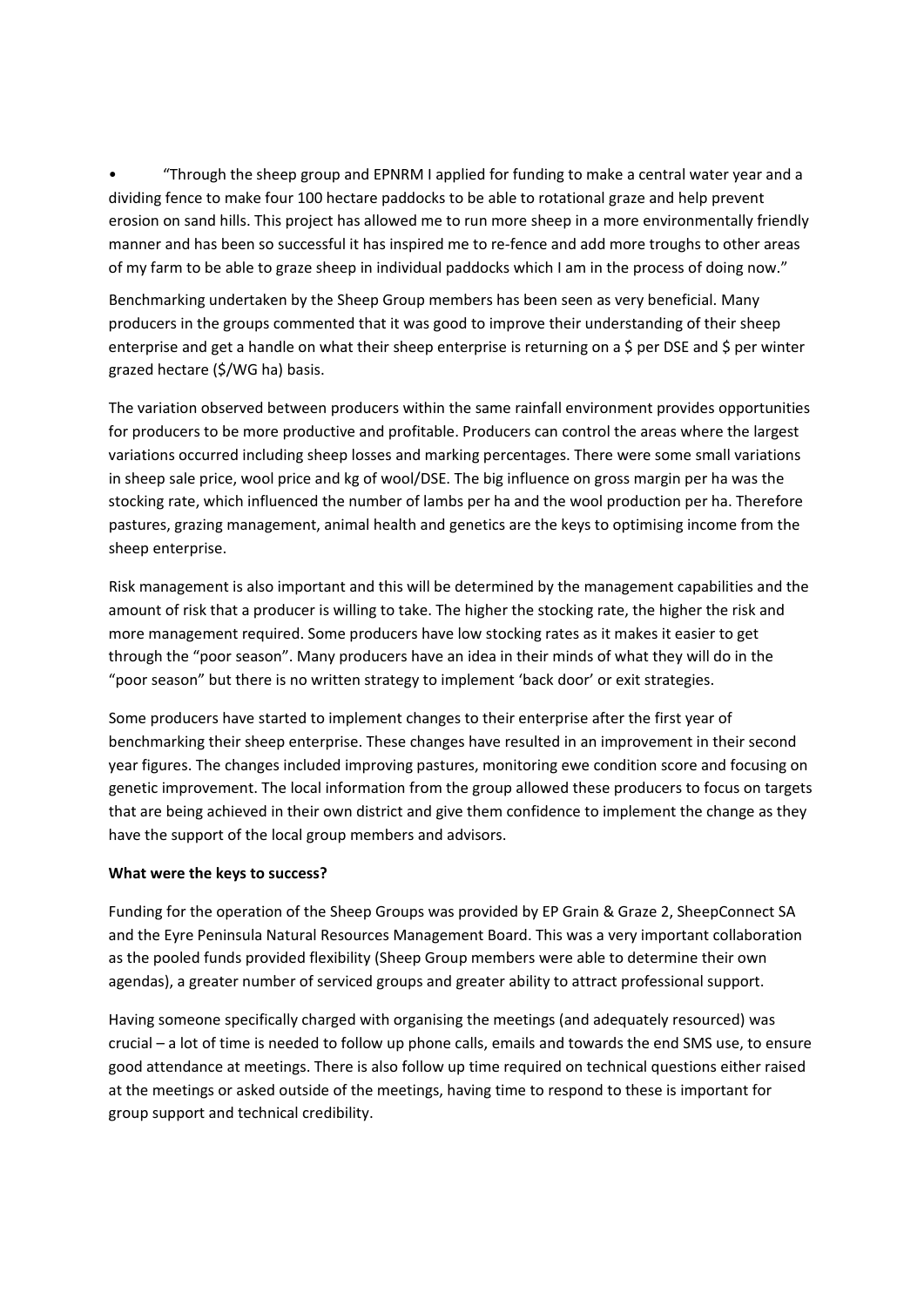• "Through the sheep group and EPNRM I applied for funding to make a central water year and a dividing fence to make four 100 hectare paddocks to be able to rotational graze and help prevent erosion on sand hills. This project has allowed me to run more sheep in a more environmentally friendly manner and has been so successful it has inspired me to re-fence and add more troughs to other areas of my farm to be able to graze sheep in individual paddocks which I am in the process of doing now."

Benchmarking undertaken by the Sheep Group members has been seen as very beneficial. Many producers in the groups commented that it was good to improve their understanding of their sheep enterprise and get a handle on what their sheep enterprise is returning on a \$ per DSE and \$ per winter grazed hectare (\$/WG ha) basis.

The variation observed between producers within the same rainfall environment provides opportunities for producers to be more productive and profitable. Producers can control the areas where the largest variations occurred including sheep losses and marking percentages. There were some small variations in sheep sale price, wool price and kg of wool/DSE. The big influence on gross margin per ha was the stocking rate, which influenced the number of lambs per ha and the wool production per ha. Therefore pastures, grazing management, animal health and genetics are the keys to optimising income from the sheep enterprise.

Risk management is also important and this will be determined by the management capabilities and the amount of risk that a producer is willing to take. The higher the stocking rate, the higher the risk and more management required. Some producers have low stocking rates as it makes it easier to get through the "poor season". Many producers have an idea in their minds of what they will do in the "poor season" but there is no written strategy to implement 'back door' or exit strategies.

Some producers have started to implement changes to their enterprise after the first year of benchmarking their sheep enterprise. These changes have resulted in an improvement in their second year figures. The changes included improving pastures, monitoring ewe condition score and focusing on genetic improvement. The local information from the group allowed these producers to focus on targets that are being achieved in their own district and give them confidence to implement the change as they have the support of the local group members and advisors.

# **What were the keys to success?**

Funding for the operation of the Sheep Groups was provided by EP Grain & Graze 2, SheepConnect SA and the Eyre Peninsula Natural Resources Management Board. This was a very important collaboration as the pooled funds provided flexibility (Sheep Group members were able to determine their own agendas), a greater number of serviced groups and greater ability to attract professional support.

Having someone specifically charged with organising the meetings (and adequately resourced) was crucial – a lot of time is needed to follow up phone calls, emails and towards the end SMS use, to ensure good attendance at meetings. There is also follow up time required on technical questions either raised at the meetings or asked outside of the meetings, having time to respond to these is important for group support and technical credibility.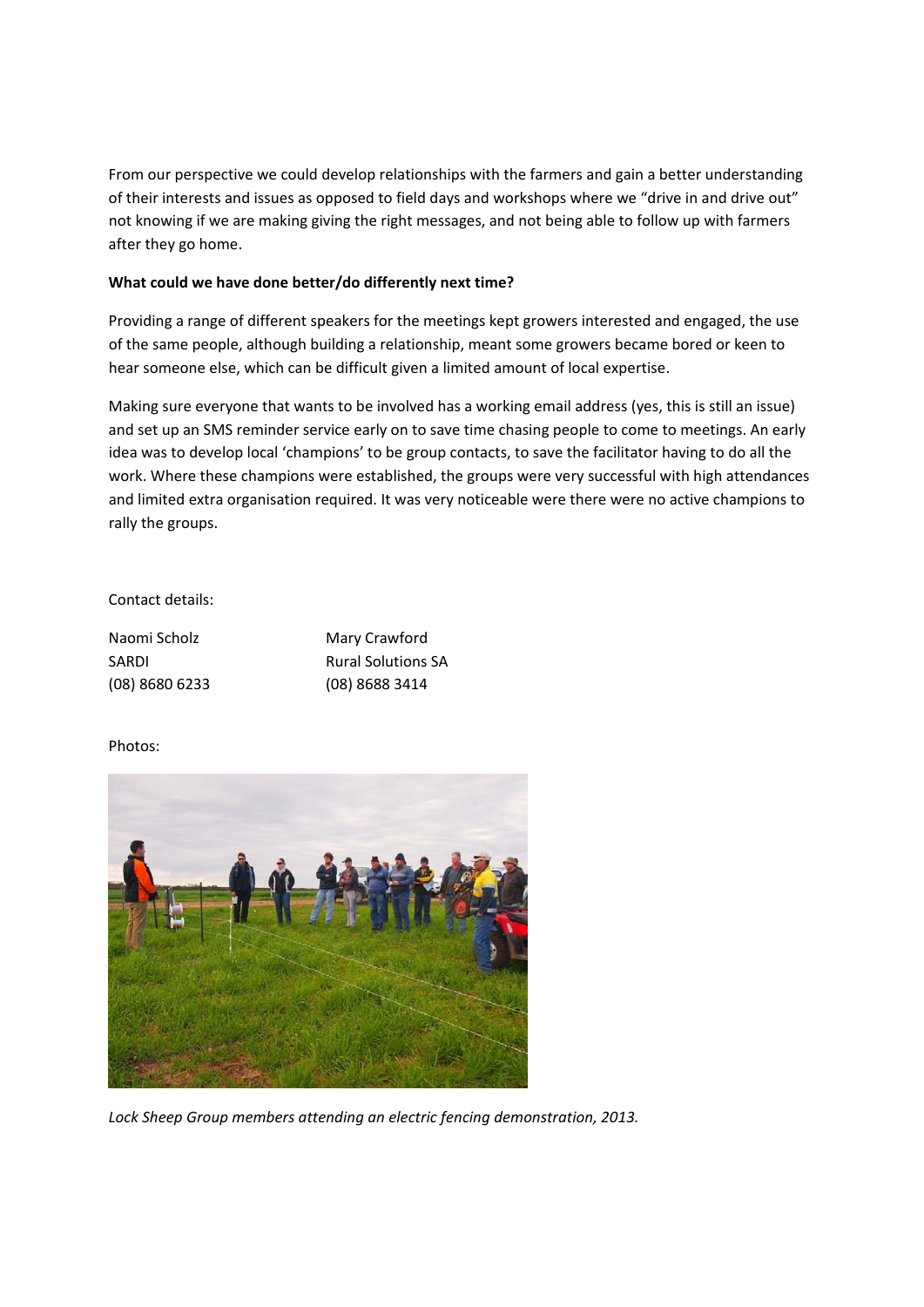From our perspective we could develop relationships with the farmers and gain a better understanding of their interests and issues as opposed to field days and workshops where we "drive in and drive out" not knowing if we are making giving the right messages, and not being able to follow up with farmers after they go home.

# **What could we have done better/do differently next time?**

Providing a range of different speakers for the meetings kept growers interested and engaged, the use of the same people, although building a relationship, meant some growers became bored or keen to hear someone else, which can be difficult given a limited amount of local expertise.

Making sure everyone that wants to be involved has a working email address (yes, this is still an issue) and set up an SMS reminder service early on to save time chasing people to come to meetings. An early idea was to develop local 'champions' to be group contacts, to save the facilitator having to do all the work. Where these champions were established, the groups were very successful with high attendances and limited extra organisation required. It was very noticeable were there were no active champions to rally the groups.

### Contact details:

| Naomi Scholz     | Mary Crawford             |
|------------------|---------------------------|
| SARDI            | <b>Rural Solutions SA</b> |
| $(08)$ 8680 6233 | $(08)$ 8688 3414          |

## Photos:



*Lock Sheep Group members attending an electric fencing demonstration, 2013.*